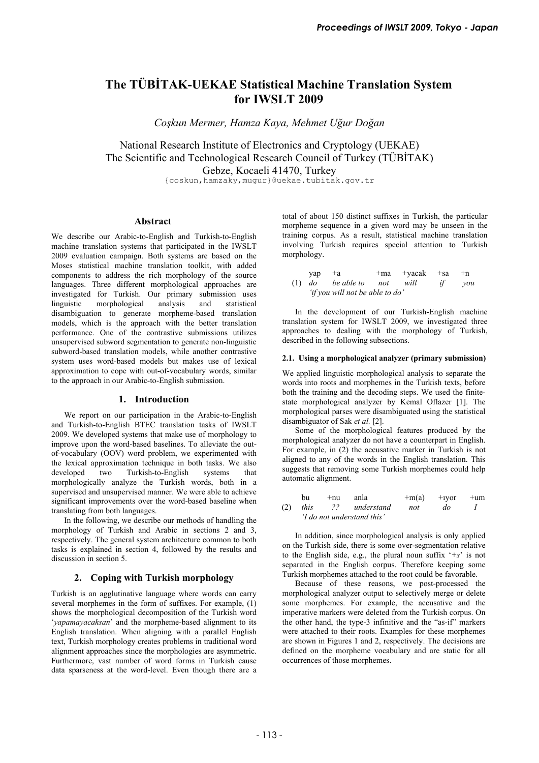# **The TÜBİTAK-UEKAE Statistical Machine Translation System for IWSLT 2009**

*Coşkun Mermer, Hamza Kaya, Mehmet Uğur Doğan* 

National Research Institute of Electronics and Cryptology (UEKAE) The Scientific and Technological Research Council of Turkey (TÜBİTAK) Gebze, Kocaeli 41470, Turkey

{coskun,hamzaky,mugur}@uekae.tubitak.gov.tr

# **Abstract**

We describe our Arabic-to-English and Turkish-to-English machine translation systems that participated in the IWSLT 2009 evaluation campaign. Both systems are based on the Moses statistical machine translation toolkit, with added components to address the rich morphology of the source languages. Three different morphological approaches are investigated for Turkish. Our primary submission uses<br>linguistic morphological analysis and statistical linguistic morphological analysis and statistical disambiguation to generate morpheme-based translation models, which is the approach with the better translation performance. One of the contrastive submissions utilizes unsupervised subword segmentation to generate non-linguistic subword-based translation models, while another contrastive system uses word-based models but makes use of lexical approximation to cope with out-of-vocabulary words, similar to the approach in our Arabic-to-English submission.

## **1. Introduction**

We report on our participation in the Arabic-to-English and Turkish-to-English BTEC translation tasks of IWSLT 2009. We developed systems that make use of morphology to improve upon the word-based baselines. To alleviate the outof-vocabulary (OOV) word problem, we experimented with the lexical approximation technique in both tasks. We also developed two Turkish-to-English systems that morphologically analyze the Turkish words, both in a supervised and unsupervised manner. We were able to achieve significant improvements over the word-based baseline when translating from both languages.

In the following, we describe our methods of handling the morphology of Turkish and Arabic in sections 2 and 3, respectively. The general system architecture common to both tasks is explained in section 4, followed by the results and discussion in section 5.

# **2. Coping with Turkish morphology**

Turkish is an agglutinative language where words can carry several morphemes in the form of suffixes. For example, (1) shows the morphological decomposition of the Turkish word '*yapamayacaksan*' and the morpheme-based alignment to its English translation. When aligning with a parallel English text, Turkish morphology creates problems in traditional word alignment approaches since the morphologies are asymmetric. Furthermore, vast number of word forms in Turkish cause data sparseness at the word-level. Even though there are a total of about 150 distinct suffixes in Turkish, the particular morpheme sequence in a given word may be unseen in the training corpus. As a result, statistical machine translation involving Turkish requires special attention to Turkish morphology.

| $\text{vap}$ $+a$ |                                 | +ma +yacak +sa | $+n$   |
|-------------------|---------------------------------|----------------|--------|
|                   | $(1)$ do be able to not will    |                | if vou |
|                   | 'if you will not be able to do' |                |        |

In the development of our Turkish-English machine translation system for IWSLT 2009, we investigated three approaches to dealing with the morphology of Turkish, described in the following subsections.

#### **2.1. Using a morphological analyzer (primary submission)**

We applied linguistic morphological analysis to separate the words into roots and morphemes in the Turkish texts, before both the training and the decoding steps. We used the finitestate morphological analyzer by Kemal Oflazer [1]. The morphological parses were disambiguated using the statistical disambiguator of Sak *et al.* [2].

Some of the morphological features produced by the morphological analyzer do not have a counterpart in English. For example, in (2) the accusative marker in Turkish is not aligned to any of the words in the English translation. This suggests that removing some Turkish morphemes could help automatic alignment.

|     | bu                         | $+nu$ | anla          | $+m(a)$ | $+$ 1 $\gamma$ or | $+um$ |  |
|-----|----------------------------|-------|---------------|---------|-------------------|-------|--|
| (2) | this                       |       | ?? understand | not     | do                |       |  |
|     | 'I do not understand this' |       |               |         |                   |       |  |

In addition, since morphological analysis is only applied on the Turkish side, there is some over-segmentation relative to the English side, e.g., the plural noun suffix '*+s*' is not separated in the English corpus. Therefore keeping some Turkish morphemes attached to the root could be favorable.

Because of these reasons, we post-processed the morphological analyzer output to selectively merge or delete some morphemes. For example, the accusative and the imperative markers were deleted from the Turkish corpus. On the other hand, the type-3 infinitive and the "as-if" markers were attached to their roots. Examples for these morphemes are shown in Figures 1 and 2, respectively. The decisions are defined on the morpheme vocabulary and are static for all occurrences of those morphemes.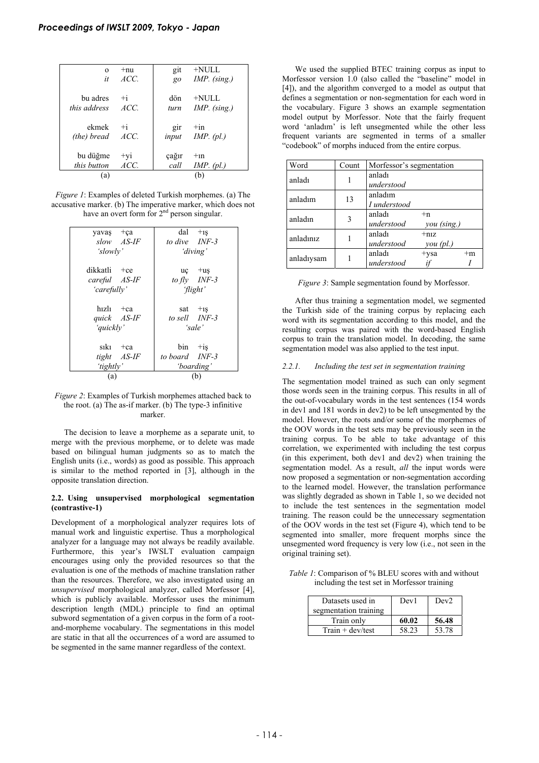| $\Omega$            | $+nu$ | git   | $+$ NULL       |
|---------------------|-------|-------|----------------|
| it                  | ACC.  | $g_0$ | $IMP.$ (sing.) |
| bu adres            | $+i$  | dön   | $+$ NULL       |
| <i>this address</i> | ACC.  | turn  | $IMP.$ (sing.) |
| ekmek               | $+i$  | gir   | $+in$          |
| (the) bread         | ACC.  | input | IMP. $(pl.)$   |
| bu düğme            | $+yi$ | çağır | $+1n$          |
| this button         | ACC.  | call  | IMP. (pl.)     |
| (a)                 |       |       | (b)            |

*Figure 1*: Examples of deleted Turkish morphemes. (a) The accusative marker. (b) The imperative marker, which does not have an overt form for  $2<sup>nd</sup>$  person singular.

| $dal$ +1s      |
|----------------|
| to dive INF-3  |
| 'diving'       |
|                |
| $uc +us$       |
| to fly $INF-3$ |
| 'flight'       |
|                |
| sat $+1s$      |
| to sell INF-3  |
|                |
| 'sale'         |
|                |
| $bin$ +is      |
| to board INF-3 |
| 'boarding'     |
| (b)            |
|                |

*Figure 2*: Examples of Turkish morphemes attached back to the root. (a) The as-if marker. (b) The type-3 infinitive marker.

The decision to leave a morpheme as a separate unit, to merge with the previous morpheme, or to delete was made based on bilingual human judgments so as to match the English units (i.e., words) as good as possible. This approach is similar to the method reported in [3], although in the opposite translation direction.

## **2.2. Using unsupervised morphological segmentation (contrastive-1)**

Development of a morphological analyzer requires lots of manual work and linguistic expertise. Thus a morphological analyzer for a language may not always be readily available. Furthermore, this year's IWSLT evaluation campaign encourages using only the provided resources so that the evaluation is one of the methods of machine translation rather than the resources. Therefore, we also investigated using an *unsupervised* morphological analyzer, called Morfessor [4], which is publicly available. Morfessor uses the minimum description length (MDL) principle to find an optimal subword segmentation of a given corpus in the form of a rootand-morpheme vocabulary. The segmentations in this model are static in that all the occurrences of a word are assumed to be segmented in the same manner regardless of the context.

We used the supplied BTEC training corpus as input to Morfessor version 1.0 (also called the "baseline" model in [4]), and the algorithm converged to a model as output that defines a segmentation or non-segmentation for each word in the vocabulary. Figure 3 shows an example segmentation model output by Morfessor. Note that the fairly frequent word 'anladım' is left unsegmented while the other less frequent variants are segmented in terms of a smaller "codebook" of morphs induced from the entire corpus.

| Word       | Count | Morfessor's segmentation |             |      |  |
|------------|-------|--------------------------|-------------|------|--|
| anladı     |       | anladı                   |             |      |  |
|            |       | understood               |             |      |  |
| anladım    | 13    | anladım                  |             |      |  |
|            |       | I understood             |             |      |  |
| anladın    |       | anladı                   | $+n$        |      |  |
|            |       | understood               | you (sing.) |      |  |
| anladınız  |       | anladı                   | $+niz$      |      |  |
|            |       | understood               | $you$ (pl.) |      |  |
|            |       | anladı                   | $+ysa$      | $+m$ |  |
| anladıysam |       | understood               |             |      |  |

*Figure 3*: Sample segmentation found by Morfessor.

After thus training a segmentation model, we segmented the Turkish side of the training corpus by replacing each word with its segmentation according to this model, and the resulting corpus was paired with the word-based English corpus to train the translation model. In decoding, the same segmentation model was also applied to the test input.

# *2.2.1. Including the test set in segmentation training*

The segmentation model trained as such can only segment those words seen in the training corpus. This results in all of the out-of-vocabulary words in the test sentences (154 words in dev1 and 181 words in dev2) to be left unsegmented by the model. However, the roots and/or some of the morphemes of the OOV words in the test sets may be previously seen in the training corpus. To be able to take advantage of this correlation, we experimented with including the test corpus (in this experiment, both dev1 and dev2) when training the segmentation model. As a result, *all* the input words were now proposed a segmentation or non-segmentation according to the learned model. However, the translation performance was slightly degraded as shown in Table 1, so we decided not to include the test sentences in the segmentation model training. The reason could be the unnecessary segmentation of the OOV words in the test set (Figure 4), which tend to be segmented into smaller, more frequent morphs since the unsegmented word frequency is very low (i.e., not seen in the original training set).

*Table 1*: Comparison of % BLEU scores with and without including the test set in Morfessor training

| Datasets used in      | Dev1  | Dev <sub>2</sub> |
|-----------------------|-------|------------------|
| segmentation training |       |                  |
| Train only            | 60.02 | 56.48            |
| $Train + dev/test$    | 58.23 | 53.78            |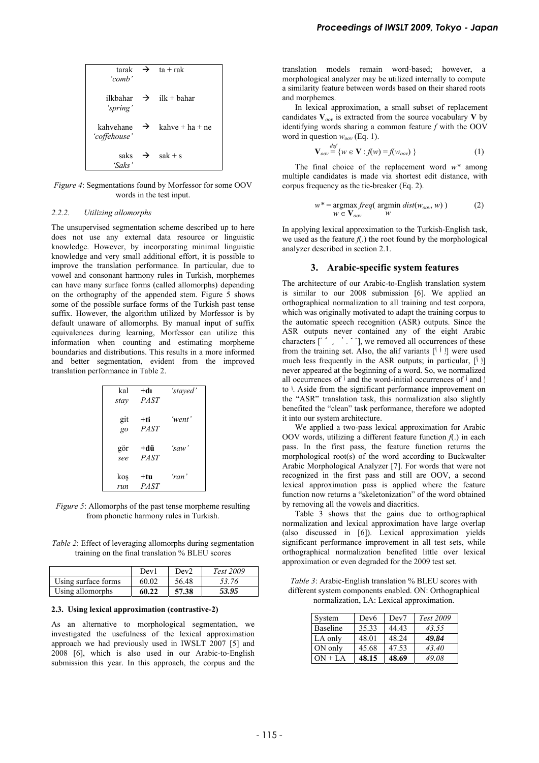| 'comb'                       |               | tarak $\rightarrow$ ta + rak       |
|------------------------------|---------------|------------------------------------|
| 'spring'                     |               | ilkbahar $\rightarrow$ ilk + bahar |
| kahvehane<br>'coffehouse'    | $\rightarrow$ | $kahve + ha + ne$                  |
| saks $\rightarrow$<br>'Saks' |               | $sak + s$                          |

*Figure 4*: Segmentations found by Morfessor for some OOV words in the test input.

## *2.2.2. Utilizing allomorphs*

The unsupervised segmentation scheme described up to here does not use any external data resource or linguistic knowledge. However, by incorporating minimal linguistic knowledge and very small additional effort, it is possible to improve the translation performance. In particular, due to vowel and consonant harmony rules in Turkish, morphemes can have many surface forms (called allomorphs) depending on the orthography of the appended stem. Figure 5 shows some of the possible surface forms of the Turkish past tense suffix. However, the algorithm utilized by Morfessor is by default unaware of allomorphs. By manual input of suffix equivalences during learning, Morfessor can utilize this information when counting and estimating morpheme boundaries and distributions. This results in a more informed and better segmentation, evident from the improved translation performance in Table 2.

| kal<br>stay | +dı<br><b>PAST</b> | 'stayed' |
|-------------|--------------------|----------|
| git<br>go   | +ti<br><b>PAST</b> | 'went'   |
| gör<br>see  | +dü<br><b>PAST</b> | ʻsaw'    |
| kos<br>run  | +tu<br><b>PAST</b> | 'ran'    |

*Figure 5*: Allomorphs of the past tense morpheme resulting from phonetic harmony rules in Turkish.

*Table 2*: Effect of leveraging allomorphs during segmentation training on the final translation % BLEU scores

|                     | Dev <sub>1</sub> | Dev2  | Test 2009 |
|---------------------|------------------|-------|-----------|
| Using surface forms | 60.02            | 56.48 | 53.76     |
| Using allomorphs    | 60.22            | 57.38 | 53.95     |

#### **2.3. Using lexical approximation (contrastive-2)**

As an alternative to morphological segmentation, we investigated the usefulness of the lexical approximation approach we had previously used in IWSLT 2007 [5] and 2008 [6], which is also used in our Arabic-to-English submission this year. In this approach, the corpus and the translation models remain word-based; however, a morphological analyzer may be utilized internally to compute a similarity feature between words based on their shared roots and morphemes.

In lexical approximation, a small subset of replacement candidates  $V_{\text{ow}}$  is extracted from the source vocabulary V by identifying words sharing a common feature *f* with the OOV word in question  $w_{oov}$  (Eq. 1).

$$
\mathbf{V}_{\text{ov}} \stackrel{\text{def}}{=} \{ w \in \mathbf{V} : f(w) = f(w_{\text{ov}}) \}
$$
 (1)

The final choice of the replacement word *w\** among multiple candidates is made via shortest edit distance, with corpus frequency as the tie-breaker (Eq. 2).

$$
w^* = \underset{W \in \mathbf{V}_{ov}}{\text{argmax}} \, freq(\underset{W}{\text{argmin}} \, dist(w_{ov}, w)) \tag{2}
$$

In applying lexical approximation to the Turkish-English task, we used as the feature  $f(.)$  the root found by the morphological analyzer described in section 2.1.

# **3. Arabic-specific system features**

The architecture of our Arabic-to-English translation system is similar to our 2008 submission [6]. We applied an orthographical normalization to all training and test corpora, which was originally motivated to adapt the training corpus to the automatic speech recognition (ASR) outputs. Since the ASR outputs never contained any of the eight Arabic characters  $[$   $]$   $]$ , we removed all occurrences of these from the training set. Also, the alif variants  $[\tilde{1} \tilde{1}]$  were used much less frequently in the ASR outputs; in particular, [أ إ [ never appeared at the beginning of a word. So, we normalized all occurrences of  $\mathfrak{f}$  and the word-initial occurrences of  $\mathfrak{f}$  and  $\mathfrak{f}$ to ا. Aside from the significant performance improvement on the "ASR" translation task, this normalization also slightly benefited the "clean" task performance, therefore we adopted it into our system architecture.

We applied a two-pass lexical approximation for Arabic OOV words, utilizing a different feature function  $f(.)$  in each pass. In the first pass, the feature function returns the morphological root(s) of the word according to Buckwalter Arabic Morphological Analyzer [7]. For words that were not recognized in the first pass and still are OOV, a second lexical approximation pass is applied where the feature function now returns a "skeletonization" of the word obtained by removing all the vowels and diacritics.

Table 3 shows that the gains due to orthographical normalization and lexical approximation have large overlap (also discussed in [6]). Lexical approximation yields significant performance improvement in all test sets, while orthographical normalization benefited little over lexical approximation or even degraded for the 2009 test set.

*Table 3*: Arabic-English translation % BLEU scores with different system components enabled. ON: Orthographical normalization, LA: Lexical approximation.

| System          | Dev <sub>6</sub> | Dev7  | Test 2009 |
|-----------------|------------------|-------|-----------|
| <b>Baseline</b> | 35.33            | 44.43 | 43.55     |
| LA only         | 48.01            | 48.24 | 49.84     |
| ON only         | 45.68            | 47.53 | 43.40     |
| $ON + LA$       | 48.15            | 48.69 | 49.08     |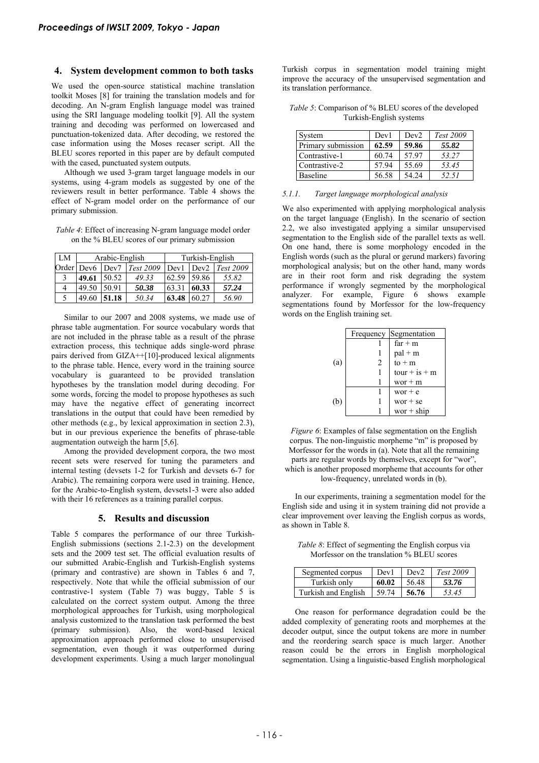## **4. System development common to both tasks**

We used the open-source statistical machine translation toolkit Moses [8] for training the translation models and for decoding. An N-gram English language model was trained using the SRI language modeling toolkit [9]. All the system training and decoding was performed on lowercased and punctuation-tokenized data. After decoding, we restored the case information using the Moses recaser script. All the BLEU scores reported in this paper are by default computed with the cased, punctuated system outputs.

Although we used 3-gram target language models in our systems, using 4-gram models as suggested by one of the reviewers result in better performance. Table 4 shows the effect of N-gram model order on the performance of our primary submission.

*Table 4*: Effect of increasing N-gram language model order on the % BLEU scores of our primary submission

| LM | Arabic-English |                  |           | Turkish-English |       |           |
|----|----------------|------------------|-----------|-----------------|-------|-----------|
|    | Order Dev6     | Dev <sub>7</sub> | Test 2009 | Dev1            | Dev2  | Test 2009 |
| 3  | 49.61          | 50.52            | 49.33     | 62.59           | 59.86 | 55.82     |
| 4  | 49.50          | 50.91            | 50.38     | 63.31           | 60.33 | 57.24     |
| 5  | 49.60          | 51.18            | 50.34     | 63.48           | 60.27 | 56.90     |

Similar to our 2007 and 2008 systems, we made use of phrase table augmentation. For source vocabulary words that are not included in the phrase table as a result of the phrase extraction process, this technique adds single-word phrase pairs derived from GIZA++[10]-produced lexical alignments to the phrase table. Hence, every word in the training source vocabulary is guaranteed to be provided translation hypotheses by the translation model during decoding. For some words, forcing the model to propose hypotheses as such may have the negative effect of generating incorrect translations in the output that could have been remedied by other methods (e.g., by lexical approximation in section 2.3), but in our previous experience the benefits of phrase-table augmentation outweigh the harm [5,6].

Among the provided development corpora, the two most recent sets were reserved for tuning the parameters and internal testing (devsets 1-2 for Turkish and devsets 6-7 for Arabic). The remaining corpora were used in training. Hence, for the Arabic-to-English system, devsets1-3 were also added with their 16 references as a training parallel corpus.

#### **5. Results and discussion**

Table 5 compares the performance of our three Turkish-English submissions (sections 2.1-2.3) on the development sets and the 2009 test set. The official evaluation results of our submitted Arabic-English and Turkish-English systems (primary and contrastive) are shown in Tables 6 and 7, respectively. Note that while the official submission of our contrastive-1 system (Table 7) was buggy, Table 5 is calculated on the correct system output. Among the three morphological approaches for Turkish, using morphological analysis customized to the translation task performed the best (primary submission). Also, the word-based lexical approximation approach performed close to unsupervised segmentation, even though it was outperformed during development experiments. Using a much larger monolingual

Turkish corpus in segmentation model training might improve the accuracy of the unsupervised segmentation and its translation performance.

| <i>Table 5:</i> Comparison of % BLEU scores of the developed |  |
|--------------------------------------------------------------|--|
| Turkish-English systems                                      |  |

| System             | Dev1  | Dev <sub>2</sub> | Test 2009 |
|--------------------|-------|------------------|-----------|
| Primary submission | 62.59 | 59.86            | 55.82     |
| Contrastive-1      | 60.74 | 57.97            | 53.27     |
| Contrastive-2      | 57.94 | 55.69            | 53.45     |
| Baseline           | 56.58 | 54.24            | 52.51     |

## *5.1.1. Target language morphological analysis*

We also experimented with applying morphological analysis on the target language (English). In the scenario of section 2.2, we also investigated applying a similar unsupervised segmentation to the English side of the parallel texts as well. On one hand, there is some morphology encoded in the English words (such as the plural or gerund markers) favoring morphological analysis; but on the other hand, many words are in their root form and risk degrading the system performance if wrongly segmented by the morphological analyzer. For example, Figure 6 shows example segmentations found by Morfessor for the low-frequency words on the English training set.

|     |   | Frequency Segmentation |
|-----|---|------------------------|
|     |   | $far + m$              |
|     |   | $pal + m$              |
| (a) | 2 | $to + m$               |
|     |   | $tour + is + m$        |
|     |   | $wor + m$              |
|     |   | wor $+e$               |
| (b) |   | $wor + se$             |
|     |   | wor $+$ ship           |

*Figure 6*: Examples of false segmentation on the English corpus. The non-linguistic morpheme "m" is proposed by Morfessor for the words in (a). Note that all the remaining parts are regular words by themselves, except for "wor", which is another proposed morpheme that accounts for other low-frequency, unrelated words in (b).

In our experiments, training a segmentation model for the English side and using it in system training did not provide a clear improvement over leaving the English corpus as words, as shown in Table 8.

*Table 8*: Effect of segmenting the English corpus via Morfessor on the translation % BLEU scores

| Segmented corpus    | Dev1  | $\blacksquare$ Dev2 | Test 2009 |
|---------------------|-------|---------------------|-----------|
| Turkish only        | 60.02 | 56.48               | 53.76     |
| Turkish and English | 59.74 | 56.76               | 53.45     |

One reason for performance degradation could be the added complexity of generating roots and morphemes at the decoder output, since the output tokens are more in number and the reordering search space is much larger. Another reason could be the errors in English morphological segmentation. Using a linguistic-based English morphological